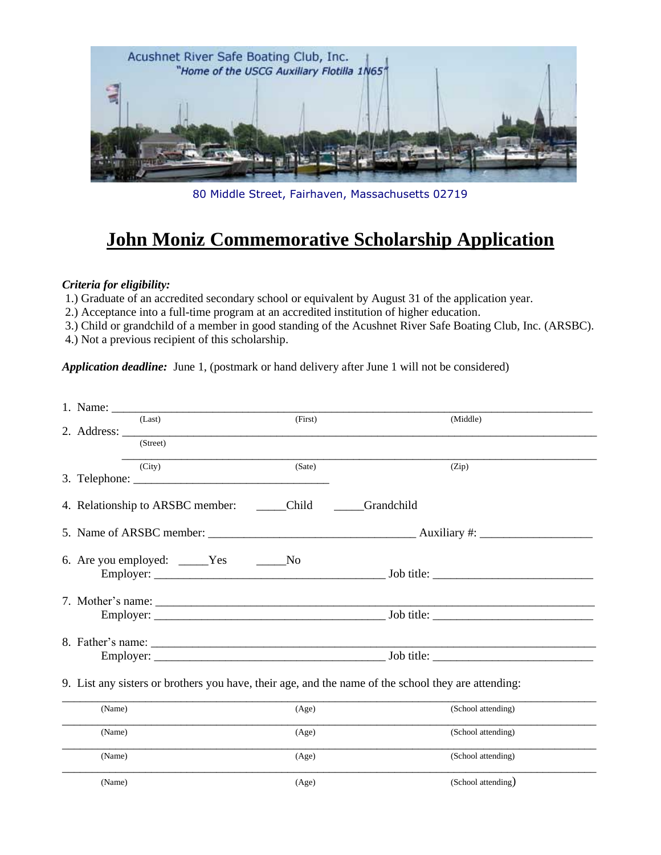

80 Middle Street, Fairhaven, Massachusetts 02719

## **John Moniz Commemorative Scholarship Application**

## *Criteria for eligibility:*

1.) Graduate of an accredited secondary school or equivalent by August 31 of the application year.

2.) Acceptance into a full-time program at an accredited institution of higher education.

3.) Child or grandchild of a member in good standing of the Acushnet River Safe Boating Club, Inc. (ARSBC).

4.) Not a previous recipient of this scholarship.

*Application deadline:* June 1, (postmark or hand delivery after June 1 will not be considered)

| (Last)                                       | (First) | (Middle)                                                                                            |
|----------------------------------------------|---------|-----------------------------------------------------------------------------------------------------|
|                                              |         |                                                                                                     |
| (Street)                                     |         |                                                                                                     |
| (City)                                       | (Sate)  | (Zip)                                                                                               |
|                                              |         |                                                                                                     |
| 4. Relationship to ARSBC member: ______Child |         | Grandchild                                                                                          |
|                                              |         |                                                                                                     |
| 6. Are you employed: _____Yes _______No      |         |                                                                                                     |
|                                              |         |                                                                                                     |
|                                              |         |                                                                                                     |
|                                              |         |                                                                                                     |
|                                              |         | 9. List any sisters or brothers you have, their age, and the name of the school they are attending: |
| (Name)                                       | (Age)   | (School attending)                                                                                  |
| (Name)                                       | (Age)   | (School attending)                                                                                  |
| (Name)                                       | (Age)   | (School attending)                                                                                  |
| (Name)                                       | (Age)   | (School attending)                                                                                  |